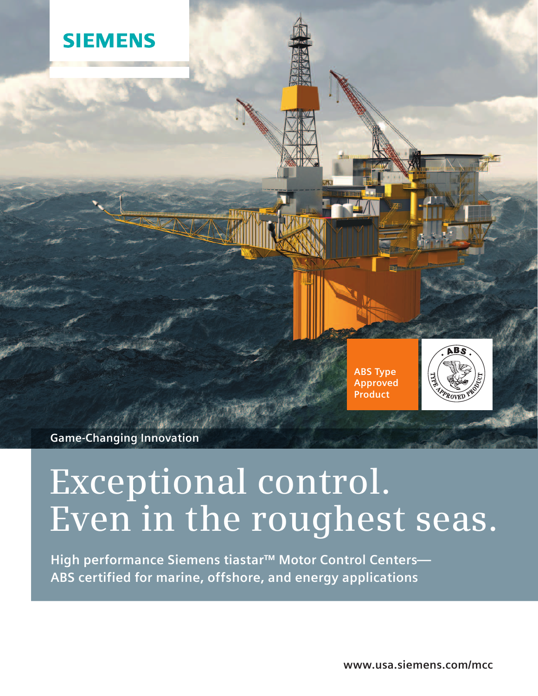





**Game-Changing Innovation**

# **Exceptional control. Even in the roughest seas.**

**High performance Siemens tiastar™ Motor Control Centers— ABS certified for marine, offshore, and energy applications**

**www.usa.siemens.com/mcc**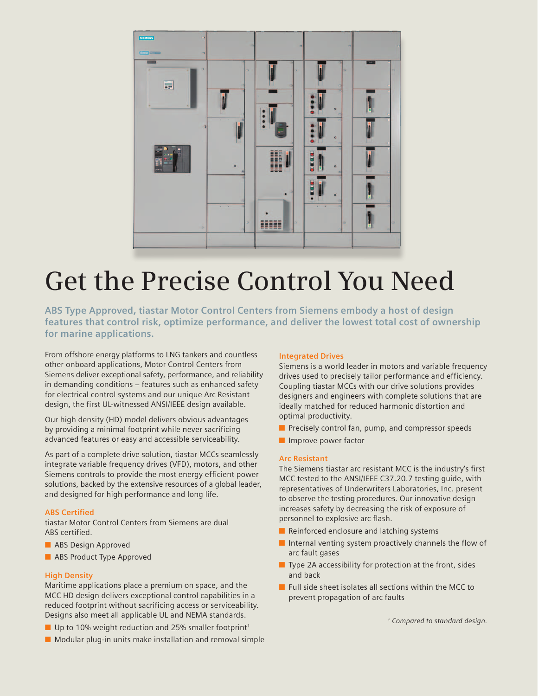

# **Get the Precise Control You Need**

**ABS Type Approved, tiastar Motor Control Centers from Siemens embody a host of design features that control risk, optimize performance, and deliver the lowest total cost of ownership for marine applications.**

From offshore energy platforms to LNG tankers and countless other onboard applications, Motor Control Centers from Siemens deliver exceptional safety, performance, and reliability in demanding conditions – features such as enhanced safety for electrical control systems and our unique Arc Resistant design, the first UL-witnessed ANSI/IEEE design available.

Our high density (HD) model delivers obvious advantages by providing a minimal footprint while never sacrificing advanced features or easy and accessible serviceability.

As part of a complete drive solution, tiastar MCCs seamlessly integrate variable frequency drives (VFD), motors, and other Siemens controls to provide the most energy efficient power solutions, backed by the extensive resources of a global leader, and designed for high performance and long life.

## **ABS Certified**

tiastar Motor Control Centers from Siemens are dual ABS certified.

- **n** ABS Design Approved
- **n** ABS Product Type Approved

## **High Density**

Maritime applications place a premium on space, and the MCC HD design delivers exceptional control capabilities in a reduced footprint without sacrificing access or serviceability. Designs also meet all applicable UL and NEMA standards.

- $\blacksquare$  Up to 10% weight reduction and 25% smaller footprint<sup>1</sup>
- $\blacksquare$  Modular plug-in units make installation and removal simple

## **Integrated Drives**

Siemens is a world leader in motors and variable frequency drives used to precisely tailor performance and efficiency. Coupling tiastar MCCs with our drive solutions provides designers and engineers with complete solutions that are ideally matched for reduced harmonic distortion and optimal productivity.

- $\blacksquare$  Precisely control fan, pump, and compressor speeds
- $\blacksquare$  Improve power factor

## **Arc Resistant**

The Siemens tiastar arc resistant MCC is the industry's first MCC tested to the ANSI/IEEE C37.20.7 testing guide, with representatives of Underwriters Laboratories, Inc. present to observe the testing procedures. Our innovative design increases safety by decreasing the risk of exposure of personnel to explosive arc flash.

- $\blacksquare$  Reinforced enclosure and latching systems
- $\blacksquare$  Internal venting system proactively channels the flow of arc fault gases
- $\blacksquare$  Type 2A accessibility for protection at the front, sides and back
- $\blacksquare$  Full side sheet isolates all sections within the MCC to prevent propagation of arc faults

*1 Compared to standard design.*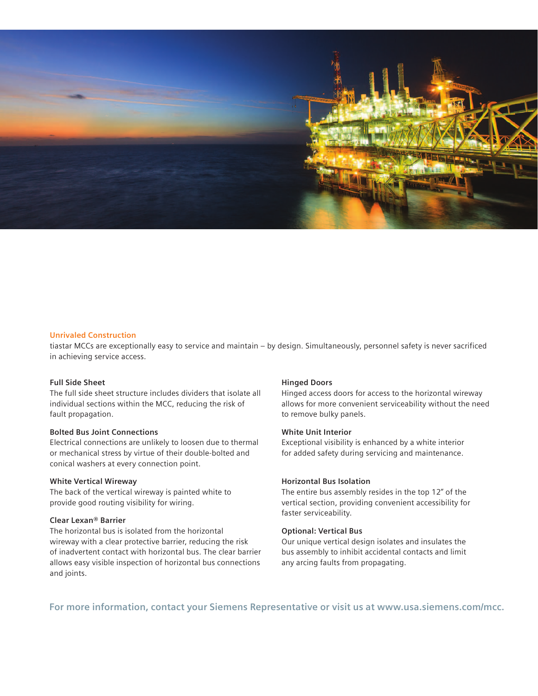

#### **Unrivaled Construction**

tiastar MCCs are exceptionally easy to service and maintain – by design. Simultaneously, personnel safety is never sacrificed in achieving service access.

### **Full Side Sheet**

The full side sheet structure includes dividers that isolate all individual sections within the MCC, reducing the risk of fault propagation.

## **Bolted Bus Joint Connections**

Electrical connections are unlikely to loosen due to thermal or mechanical stress by virtue of their double-bolted and conical washers at every connection point.

### **White Vertical Wireway**

The back of the vertical wireway is painted white to provide good routing visibility for wiring.

# **Clear Lexan® Barrier**

The horizontal bus is isolated from the horizontal wireway with a clear protective barrier, reducing the risk of inadvertent contact with horizontal bus. The clear barrier allows easy visible inspection of horizontal bus connections and joints.

#### **Hinged Doors**

Hinged access doors for access to the horizontal wireway allows for more convenient serviceability without the need to remove bulky panels.

# **White Unit Interior**

Exceptional visibility is enhanced by a white interior for added safety during servicing and maintenance.

#### **Horizontal Bus Isolation**

The entire bus assembly resides in the top 12" of the vertical section, providing convenient accessibility for faster serviceability.

#### **Optional: Vertical Bus**

Our unique vertical design isolates and insulates the bus assembly to inhibit accidental contacts and limit any arcing faults from propagating.

**For more information, contact your Siemens Representative or visit us at www.usa.siemens.com/mcc.**